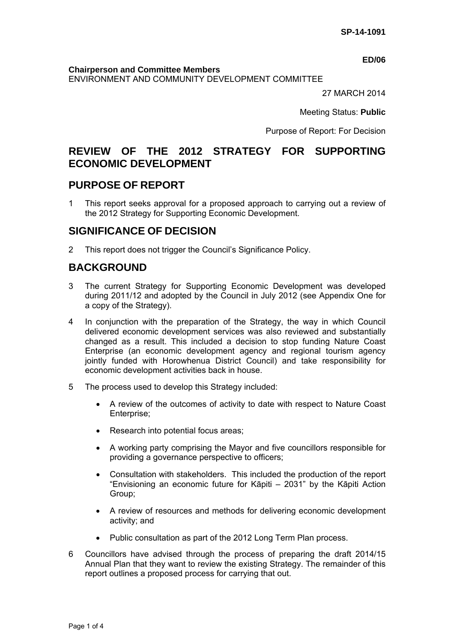#### **ED/06**

#### **Chairperson and Committee Members**

ENVIRONMENT AND COMMUNITY DEVELOPMENT COMMITTEE

27 MARCH 2014

Meeting Status: **Public**

Purpose of Report: For Decision

# **REVIEW OF THE 2012 STRATEGY FOR SUPPORTING ECONOMIC DEVELOPMENT**

## **PURPOSE OF REPORT**

1 This report seeks approval for a proposed approach to carrying out a review of the 2012 Strategy for Supporting Economic Development.

## **SIGNIFICANCE OF DECISION**

2 This report does not trigger the Council's Significance Policy.

# **BACKGROUND**

- 3 The current Strategy for Supporting Economic Development was developed during 2011/12 and adopted by the Council in July 2012 (see Appendix One for a copy of the Strategy).
- 4 In conjunction with the preparation of the Strategy, the way in which Council delivered economic development services was also reviewed and substantially changed as a result. This included a decision to stop funding Nature Coast Enterprise (an economic development agency and regional tourism agency jointly funded with Horowhenua District Council) and take responsibility for economic development activities back in house.
- 5 The process used to develop this Strategy included:
	- A review of the outcomes of activity to date with respect to Nature Coast Enterprise;
	- Research into potential focus areas:
	- A working party comprising the Mayor and five councillors responsible for providing a governance perspective to officers;
	- Consultation with stakeholders. This included the production of the report "Envisioning an economic future for Kāpiti – 2031" by the Kāpiti Action Group;
	- A review of resources and methods for delivering economic development activity; and
	- Public consultation as part of the 2012 Long Term Plan process.
- 6 Councillors have advised through the process of preparing the draft 2014/15 Annual Plan that they want to review the existing Strategy. The remainder of this report outlines a proposed process for carrying that out.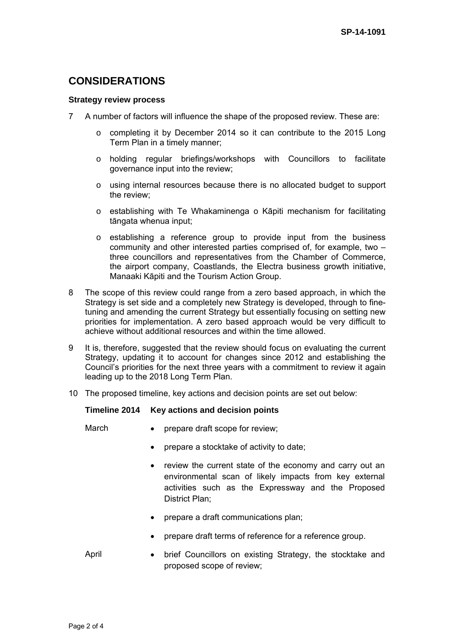# **CONSIDERATIONS**

#### **Strategy review process**

- 7 A number of factors will influence the shape of the proposed review. These are:
	- $\circ$  completing it by December 2014 so it can contribute to the 2015 Long Term Plan in a timely manner;
	- o holding regular briefings/workshops with Councillors to facilitate governance input into the review;
	- o using internal resources because there is no allocated budget to support the review;
	- o establishing with Te Whakaminenga o Kāpiti mechanism for facilitating tāngata whenua input;
	- o establishing a reference group to provide input from the business community and other interested parties comprised of, for example, two – three councillors and representatives from the Chamber of Commerce, the airport company, Coastlands, the Electra business growth initiative, Manaaki Kāpiti and the Tourism Action Group.
- 8 The scope of this review could range from a zero based approach, in which the Strategy is set side and a completely new Strategy is developed, through to finetuning and amending the current Strategy but essentially focusing on setting new priorities for implementation. A zero based approach would be very difficult to achieve without additional resources and within the time allowed.
- 9 It is, therefore, suggested that the review should focus on evaluating the current Strategy, updating it to account for changes since 2012 and establishing the Council's priorities for the next three years with a commitment to review it again leading up to the 2018 Long Term Plan.
- 10 The proposed timeline, key actions and decision points are set out below:

#### **Timeline 2014 Key actions and decision points**

March • prepare draft scope for review;

- prepare a stocktake of activity to date;
- review the current state of the economy and carry out an environmental scan of likely impacts from key external activities such as the Expressway and the Proposed District Plan;
- prepare a draft communications plan;
- prepare draft terms of reference for a reference group.
- April brief Councillors on existing Strategy, the stocktake and proposed scope of review;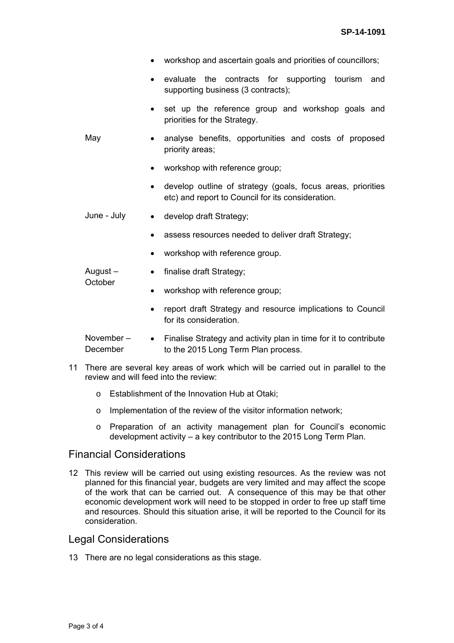|                       | workshop and ascertain goals and priorities of councillors;                                                                   |  |
|-----------------------|-------------------------------------------------------------------------------------------------------------------------------|--|
|                       | evaluate the contracts for supporting tourism<br>and<br>$\bullet$<br>supporting business (3 contracts);                       |  |
| May                   | set up the reference group and workshop goals and<br>$\bullet$<br>priorities for the Strategy.                                |  |
|                       | analyse benefits, opportunities and costs of proposed<br>$\bullet$<br>priority areas;                                         |  |
|                       | workshop with reference group;<br>$\bullet$                                                                                   |  |
|                       | develop outline of strategy (goals, focus areas, priorities<br>$\bullet$<br>etc) and report to Council for its consideration. |  |
| June - July           | develop draft Strategy;<br>$\bullet$                                                                                          |  |
|                       | assess resources needed to deliver draft Strategy;<br>$\bullet$                                                               |  |
|                       | workshop with reference group.<br>$\bullet$                                                                                   |  |
| August-               | finalise draft Strategy;<br>$\bullet$                                                                                         |  |
| October               | workshop with reference group;<br>$\bullet$                                                                                   |  |
|                       | report draft Strategy and resource implications to Council<br>$\bullet$<br>for its consideration.                             |  |
| November-<br>December | Finalise Strategy and activity plan in time for it to contribute<br>$\bullet$<br>to the 2015 Long Term Plan process.          |  |

- 11 There are several key areas of work which will be carried out in parallel to the review and will feed into the review:
	- o Establishment of the Innovation Hub at Otaki;
	- o Implementation of the review of the visitor information network;
	- o Preparation of an activity management plan for Council's economic development activity – a key contributor to the 2015 Long Term Plan.

## Financial Considerations

12 This review will be carried out using existing resources. As the review was not planned for this financial year, budgets are very limited and may affect the scope of the work that can be carried out. A consequence of this may be that other economic development work will need to be stopped in order to free up staff time and resources. Should this situation arise, it will be reported to the Council for its consideration.

## Legal Considerations

13 There are no legal considerations as this stage.